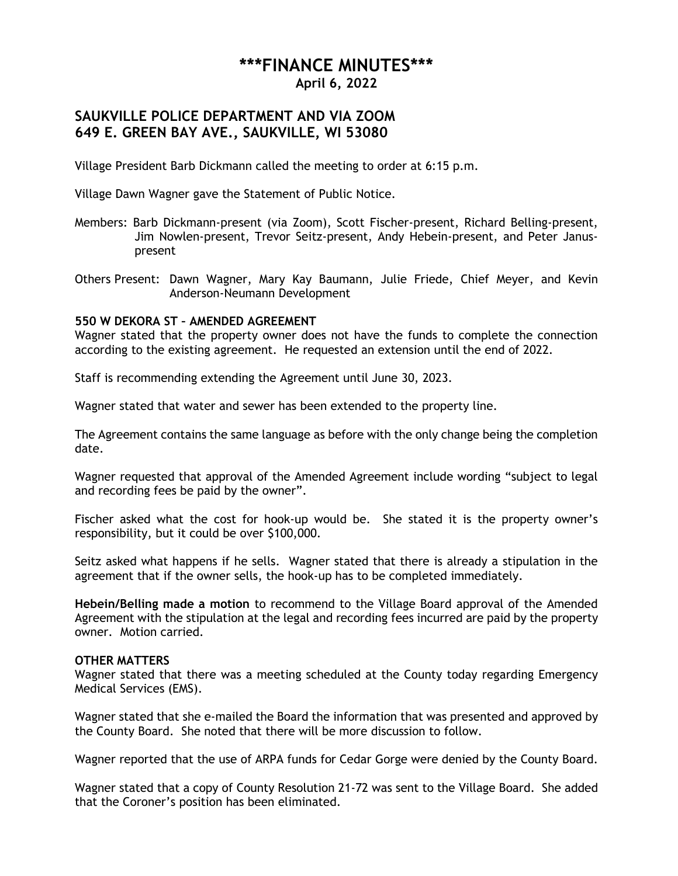# **\*\*\*FINANCE MINUTES\*\*\***

**April 6, 2022**

# **SAUKVILLE POLICE DEPARTMENT AND VIA ZOOM 649 E. GREEN BAY AVE., SAUKVILLE, WI 53080**

Village President Barb Dickmann called the meeting to order at 6:15 p.m.

Village Dawn Wagner gave the Statement of Public Notice.

- Members: Barb Dickmann-present (via Zoom), Scott Fischer-present, Richard Belling-present, Jim Nowlen-present, Trevor Seitz-present, Andy Hebein-present, and Peter Januspresent
- Others Present: Dawn Wagner, Mary Kay Baumann, Julie Friede, Chief Meyer, and Kevin Anderson-Neumann Development

## **550 W DEKORA ST – AMENDED AGREEMENT**

Wagner stated that the property owner does not have the funds to complete the connection according to the existing agreement. He requested an extension until the end of 2022.

Staff is recommending extending the Agreement until June 30, 2023.

Wagner stated that water and sewer has been extended to the property line.

The Agreement contains the same language as before with the only change being the completion date.

Wagner requested that approval of the Amended Agreement include wording "subject to legal and recording fees be paid by the owner".

Fischer asked what the cost for hook-up would be. She stated it is the property owner's responsibility, but it could be over \$100,000.

Seitz asked what happens if he sells. Wagner stated that there is already a stipulation in the agreement that if the owner sells, the hook-up has to be completed immediately.

**Hebein/Belling made a motion** to recommend to the Village Board approval of the Amended Agreement with the stipulation at the legal and recording fees incurred are paid by the property owner. Motion carried.

### **OTHER MATTERS**

Wagner stated that there was a meeting scheduled at the County today regarding Emergency Medical Services (EMS).

Wagner stated that she e-mailed the Board the information that was presented and approved by the County Board. She noted that there will be more discussion to follow.

Wagner reported that the use of ARPA funds for Cedar Gorge were denied by the County Board.

Wagner stated that a copy of County Resolution 21-72 was sent to the Village Board. She added that the Coroner's position has been eliminated.